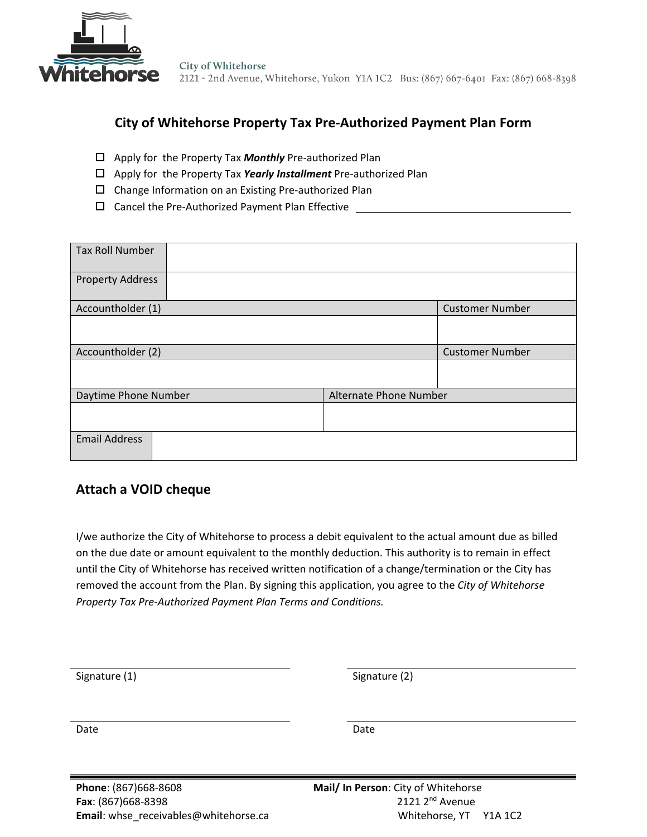

**City of Whitehorse** 2121 - 2nd Avenue, Whitehorse, Yukon Y1A 1C2 Bus: (867) 667-6401 Fax: (867) 668-8398

# **City of Whitehorse Property Tax Pre-Authorized Payment Plan Form**

- Apply for the Property Tax *Monthly* Pre-authorized Plan
- Apply for the Property Tax *Yearly Installment* Pre-authorized Plan
- Change Information on an Existing Pre-authorized Plan
- □ Cancel the Pre-Authorized Payment Plan Effective \_\_\_\_\_\_\_\_\_\_\_\_\_\_\_\_\_\_\_\_\_\_\_\_\_\_\_\_

| <b>Tax Roll Number</b>                         |  |                        |
|------------------------------------------------|--|------------------------|
| <b>Property Address</b>                        |  |                        |
| Accountholder (1)                              |  | <b>Customer Number</b> |
|                                                |  |                        |
| Accountholder (2)                              |  | <b>Customer Number</b> |
|                                                |  |                        |
| Daytime Phone Number<br>Alternate Phone Number |  |                        |
|                                                |  |                        |
| <b>Email Address</b>                           |  |                        |

# **Attach a VOID cheque**

I/we authorize the City of Whitehorse to process a debit equivalent to the actual amount due as billed on the due date or amount equivalent to the monthly deduction. This authority is to remain in effect until the City of Whitehorse has received written notification of a change/termination or the City has removed the account from the Plan. By signing this application, you agree to the *City of Whitehorse Property Tax Pre-Authorized Payment Plan Terms and Conditions.*

| Signature (1)        | Signature (2)                       |  |
|----------------------|-------------------------------------|--|
|                      |                                     |  |
|                      |                                     |  |
| Date                 | Date                                |  |
|                      |                                     |  |
|                      |                                     |  |
| Phone: (867)668-8608 | Mail/ In Person: City of Whitehorse |  |
| Fax: (867)668-8398   | 2121 2 <sup>nd</sup> Avenue         |  |
|                      |                                     |  |

**Email**: whse\_receivables@whitehorse.ca Whitehorse, YT Y1A 1C2